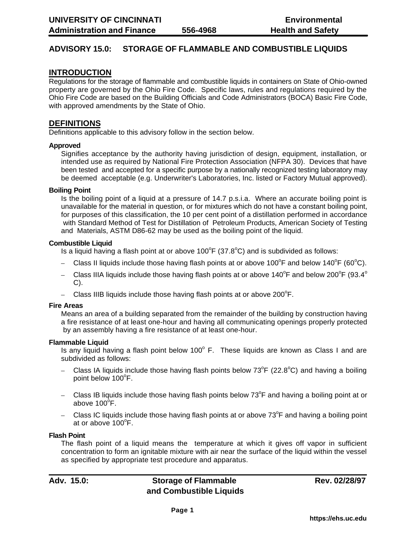# **ADVISORY 15.0: STORAGE OF FLAMMABLE AND COMBUSTIBLE LIQUIDS**

# **INTRODUCTION**

Regulations for the storage of flammable and combustible liquids in containers on State of Ohio-owned property are governed by the Ohio Fire Code. Specific laws, rules and regulations required by the Ohio Fire Code are based on the Building Officials and Code Administrators (BOCA) Basic Fire Code, with approved amendments by the State of Ohio.

## **DEFINITIONS**

Definitions applicable to this advisory follow in the section below.

## **Approved**

Signifies acceptance by the authority having jurisdiction of design, equipment, installation, or intended use as required by National Fire Protection Association (NFPA 30). Devices that have been tested and accepted for a specific purpose by a nationally recognized testing laboratory may be deemed acceptable (e.g. Underwriter's Laboratories, Inc. listed or Factory Mutual approved).

## **Boiling Point**

Is the boiling point of a liquid at a pressure of 14.7 p.s.i.a. Where an accurate boiling point is unavailable for the material in question, or for mixtures which do not have a constant boiling point, for purposes of this classification, the 10 per cent point of a distillation performed in accordance with Standard Method of Test for Distillation of Petroleum Products, American Society of Testing and Materials, ASTM D86-62 may be used as the boiling point of the liquid.

## **Combustible Liquid**

Is a liquid having a flash point at or above 100 $\mathrm{^oF}$  (37.8 $\mathrm{^oC}$ ) and is subdivided as follows:

- Class II liquids include those having flash points at or above 100 $\rm{^oF}$  and below 140 $\rm{^oF}$  (60 $\rm{^oC}$ ).
- Class IIIA liquids include those having flash points at or above 140<sup>o</sup>F and below 200<sup>o</sup>F (93.4<sup>o</sup> C).
- $-$  Class IIIB liquids include those having flash points at or above 200 $\mathrm{^oF}.$

## **Fire Areas**

Means an area of a building separated from the remainder of the building by construction having a fire resistance of at least one-hour and having all communicating openings properly protected by an assembly having a fire resistance of at least one-hour.

## **Flammable Liquid**

Is any liquid having a flash point below 100 $^{\circ}$  F. These liquids are known as Class I and are subdivided as follows:

- Class IA liquids include those having flash points below 73<sup>o</sup>F (22.8<sup>o</sup>C) and having a boiling point below 100°F.
- $-$  Class IB liquids include those having flash points below 73 $\mathrm{^oF}$  and having a boiling point at or above 100<sup>°</sup>F.
- $-$  Class IC liquids include those having flash points at or above 73<sup>o</sup>F and having a boiling point at or above 100°F.

## **Flash Point**

The flash point of a liquid means the temperature at which it gives off vapor in sufficient concentration to form an ignitable mixture with air near the surface of the liquid within the vessel as specified by appropriate test procedure and apparatus.

# Adv. 15.0: **Storage of Flammable** Rev. 02/28/97 **and Combustible Liquids**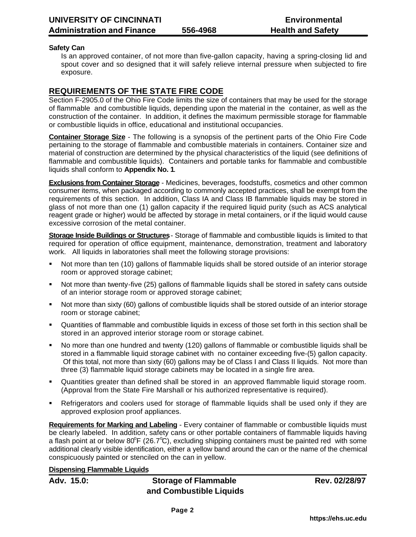## **Safety Can**

Is an approved container, of not more than five-gallon capacity, having a spring-closing lid and spout cover and so designed that it will safely relieve internal pressure when subjected to fire exposure.

# **REQUIREMENTS OF THE STATE FIRE CODE**

Section F-2905.0 of the Ohio Fire Code limits the size of containers that may be used for the storage of flammable and combustible liquids, depending upon the material in the container, as well as the construction of the container. In addition, it defines the maximum permissible storage for flammable or combustible liquids in office, educational and institutional occupancies.

**Container Storage Size** - The following is a synopsis of the pertinent parts of the Ohio Fire Code pertaining to the storage of flammable and combustible materials in containers. Container size and material of construction are determined by the physical characteristics of the liquid (see definitions of flammable and combustible liquids). Containers and portable tanks for flammable and combustible liquids shall conform to **Appendix No. 1**.

**Exclusions from Container Storage** - Medicines, beverages, foodstuffs, cosmetics and other common consumer items, when packaged according to commonly accepted practices, shall be exempt from the requirements of this section. In addition, Class IA and Class IB flammable liquids may be stored in glass of not more than one (1) gallon capacity if the required liquid purity (such as ACS analytical reagent grade or higher) would be affected by storage in metal containers, or if the liquid would cause excessive corrosion of the metal container.

**Storage Inside Buildings or Structures**- Storage of flammable and combustible liquids is limited to that required for operation of office equipment, maintenance, demonstration, treatment and laboratory work. All liquids in laboratories shall meet the following storage provisions:

- ß Not more than ten (10) gallons of flammable liquids shall be stored outside of an interior storage room or approved storage cabinet;
- ß Not more than twenty-five (25) gallons of flammable liquids shall be stored in safety cans outside of an interior storage room or approved storage cabinet;
- ß Not more than sixty (60) gallons of combustible liquids shall be stored outside of an interior storage room or storage cabinet;
- ß Quantities of flammable and combustible liquids in excess of those set forth in this section shall be stored in an approved interior storage room or storage cabinet.
- ß No more than one hundred and twenty (120) gallons of flammable or combustible liquids shall be stored in a flammable liquid storage cabinet with no container exceeding five-(5) gallon capacity. Of this total, not more than sixty (60) gallons may be of Class I and Class II liquids. Not more than three (3) flammable liquid storage cabinets may be located in a single fire area.
- ß Quantities greater than defined shall be stored in an approved flammable liquid storage room. (Approval from the State Fire Marshall or his authorized representative is required).
- ß Refrigerators and coolers used for storage of flammable liquids shall be used only if they are approved explosion proof appliances.

**Requirements for Marking and Labeling** - Every container of flammable or combustible liquids must be clearly labeled. In addition, safety cans or other portable containers of flammable liquids having a flash point at or below 80°F (26.7°C), excluding shipping containers must be painted red with some additional clearly visible identification, either a yellow band around the can or the name of the chemical conspicuously painted or stenciled on the can in yellow.

## **Dispensing Flammable Liquids**

# Adv. 15.0: Storage of Flammable Rev. 02/28/97 **and Combustible Liquids**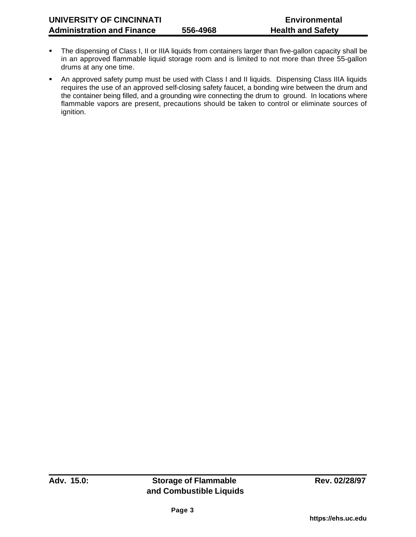- The dispensing of Class I, II or IIIA liquids from containers larger than five-gallon capacity shall be in an approved flammable liquid storage room and is limited to not more than three 55-gallon drums at any one time.
- An approved safety pump must be used with Class I and II liquids. Dispensing Class IIIA liquids requires the use of an approved self-closing safety faucet, a bonding wire between the drum and the container being filled, and a grounding wire connecting the drum to ground. In locations where flammable vapors are present, precautions should be taken to control or eliminate sources of ignition.